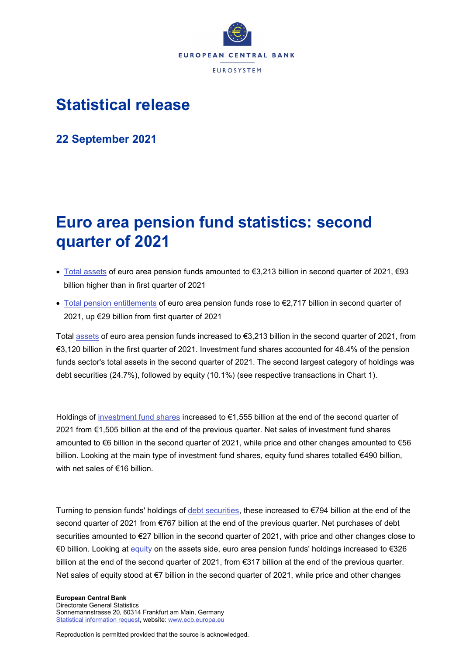

# **Statistical release**

**22 September 2021**

# **Euro area pension fund statistics: second quarter of 2021**

- [Total assets](https://sdw.ecb.europa.eu/quickview.do;jsessionid=A50584076B860027E5DE04391F045F79?SERIES_KEY=451.PFBR.Q.U2.S.S129.A00.T.1.W0.S1._T.EUR) of euro area pension funds amounted to €3,213 billion in second quarter of 2021, €93 billion higher than in first quarter of 2021
- [Total pension entitlements](https://sdw.ecb.europa.eu/quickview.do?SERIES_KEY=451.PFBR.Q.U2.S.S129.L43.T.1.W0.S1._T.EUR) of euro area pension funds rose to €2,717 billion in second quarter of 2021, up €29 billion from first quarter of 2021

Total [assets](https://sdw.ecb.europa.eu/browseSelection.do?type=series&q=PFBR.Q.U2.S.S129.A00.T.1.W0.S1._T.EUR+PFBR.Q.U2.S.S129.A60.T.1.W0.S1._T.EUR+PFBR.Q.U2.S.S129.A30.S.1.W0.S1._T.EUR+PFBR.Q.U2.S.S129.A50.T.1.W0.S1._T.EUR&node=SEARCHRESULTS&ec=&oc=&rc=&cv=&pb=&dc=&df=) of euro area pension funds increased to €3,213 billion in the second quarter of 2021, from €3,120 billion in the first quarter of 2021. Investment fund shares accounted for 48.4% of the pension funds sector's total assets in the second quarter of 2021. The second largest category of holdings was debt securities (24.7%), followed by equity (10.1%) (see respective transactions in Chart 1).

Holdings of [investment fund shares](https://sdw.ecb.europa.eu/browseSelection.do?type=series&q=PFBR.Q.U2.S.S129.A60.T.1.W0.S1._T.EUR+PFBR.Q.U2.S.S129.A60.T.4.W0.S1._T.EUR+PFBR.Q.U2.S.S129.A60.T.5.W0.S1._T.EUR+PFBR.Q.U2.S.S129.A60.T.8.W0.S1._T.EUR&node=SEARCHRESULTS&ec=&oc=&rc=&cv=&pb=&dc=&df=) increased to €1,555 billion at the end of the second quarter of 2021 from €1,505 billion at the end of the previous quarter. Net sales of investment fund shares amounted to  $\epsilon$ 6 billion in the second quarter of 2021, while price and other changes amounted to  $\epsilon$ 56 billion. Looking at the main type of investment fund shares, equity fund shares totalled €490 billion, with net sales of €16 billion.

Turning to pension funds' holdings of [debt securities,](https://sdw.ecb.europa.eu/browseSelection.do?type=series&q=PFBR.Q.U2.S.S129.A30.T.1.W0.S1._T.EUR+PFBR.Q.U2.S.S129.A30.T.4.W0.S1._T.EUR+PFBR.Q.U2.S.S129.A30.T.5.W0.S1._T.EUR+PFBR.Q.U2.S.S129.A30.T.8.W0.S1._T.EUR&node=SEARCHRESULTS&ec=&oc=&rc=&cv=&pb=&dc=&df=) these increased to €794 billion at the end of the second quarter of 2021 from €767 billion at the end of the previous quarter. Net purchases of debt securities amounted to €27 billion in the second quarter of 2021, with price and other changes close to €0 billion. Looking at [equity](https://sdw.ecb.europa.eu/browseSelection.do?type=series&q=PFBR.Q.U2.S.S129.A50.T.1.W0.S1._T.EUR+PFBR.Q.U2.S.S129.A50.T.4.W0.S1._T.EUR+PFBR.Q.U2.S.S129.A50.T.5.W0.S1._T.EUR+PFBR.Q.U2.S.S129.A50.T.8.W0.S1._T.EUR&node=SEARCHRESULTS&ec=&oc=&rc=&cv=&pb=&dc=&df=) on the assets side, euro area pension funds' holdings increased to €326 billion at the end of the second quarter of 2021, from €317 billion at the end of the previous quarter. Net sales of equity stood at €7 billion in the second quarter of 2021, while price and other changes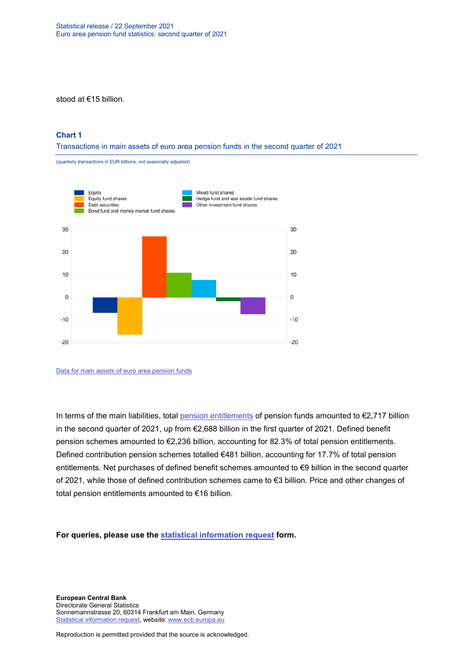stood at €15 billion.

### **Chart 1**

Transactions in main assets of euro area pension funds in the second quarter of 2021

(quarterly transactions in EUR billions; not seasonally adjusted)



[Data for main assets of euro area pension funds](https://sdw.ecb.europa.eu/browseSelection.do?type=series&q=PFBR.Q.U2.S.S129.A30.T.4.W0.S1._T.EUR%2c+PFBR.Q.U2.S.S129.A50.T.4.W0.S1._T.EUR%2c+PFBR.Q.U2.S.S129.A61.T.4.W0.S1._T.EUR%2c+PFBR.Q.U2.S.S129.A621.T.4.W0.S1._T.EUR%2c+PFBR.Q.U2.S.S129.A622.T.4.W0.S1._T.EUR%2c+PFBR.Q.U2.S.S129.A623.T.4.W0.S1._T.EUR%2c+PFBR.Q.U2.S.S129.A624.T.4.W0.S1._T.EUR%2c+PFBR.Q.U2.S.S129.A625.T.4.W0.S1._T.EUR%2c+PFBR.Q.U2.S.S129.A626.T.4.W0.S1._T.EUR%2c&node=SEARCHRESULTS&ec=&oc=&rc=&cv=&pb=&dc=&df=)

In terms of the main liabilities, total [pension entitlements](https://sdw.ecb.europa.eu/browseSelection.do?type=series&q=PFBR.Q.U2.S.S129.L43.T.1.W0.S1._T.EUR+PFBR.Q.U2.S.S129.L43B.T.1.W0.S1._T.EUR+PFBR.Q.U2.S.S129.L43C.T.1.W0.S1._T.EUR+PFBR.Q.U2.S.S129.L43.T.4.W0.S1._T.EUR+PFBR.Q.U2.S.S129.L43.T.5.W0.S1._T.EUR+PFBR.Q.U2.S.S129.L43.T.8.W0.S1._T.EUR+PFBR.Q.U2.S.S129.L43B.T.4.W0.S1._T.EUR+PFBR.Q.U2.S.S129.L43C.T.4.W0.S1._T.EUR&node=SEARCHRESULTS&ec=&oc=&rc=&cv=&pb=&dc=&df=) of pension funds amounted to €2,717 billion in the second quarter of 2021, up from €2,688 billion in the first quarter of 2021. Defined benefit pension schemes amounted to €2,236 billion, accounting for 82.3% of total pension entitlements. Defined contribution pension schemes totalled €481 billion, accounting for 17.7% of total pension entitlements. Net purchases of defined benefit schemes amounted to €9 billion in the second quarter of 2021, while those of defined contribution schemes came to €3 billion. Price and other changes of total pension entitlements amounted to €16 billion.

**For queries, please use the [statistical information request](https://ecb-registration.escb.eu/statistical-information) form.**

**European Central Bank** Directorate General Statistics Sonnemannstrasse 20, 60314 Frankfurt am Main, Germany [Statistical information request,](https://ecb-registration.escb.eu/statistical-information) website: [www.ecb.europa.eu](http://www.ecb.europa.eu/)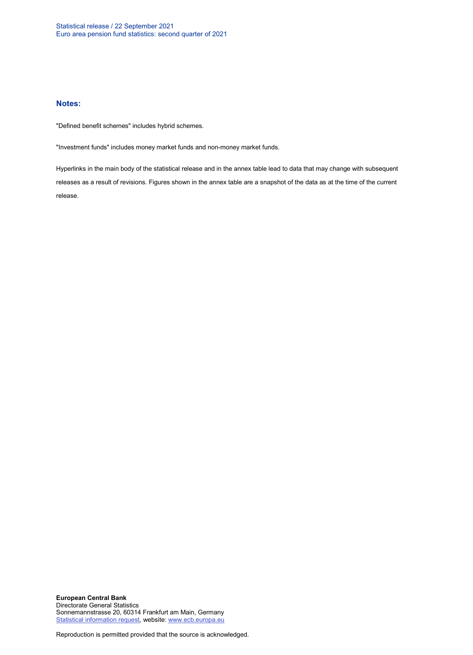#### **Notes:**

"Defined benefit schemes" includes hybrid schemes.

"Investment funds" includes money market funds and non-money market funds.

Hyperlinks in the main body of the statistical release and in the annex table lead to data that may change with subsequent releases as a result of revisions. Figures shown in the annex table are a snapshot of the data as at the time of the current release.